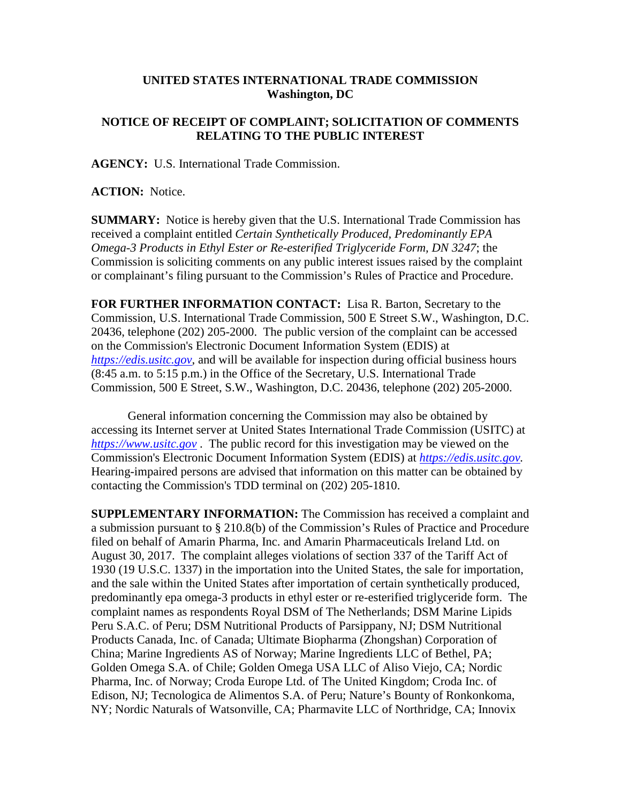## **UNITED STATES INTERNATIONAL TRADE COMMISSION Washington, DC**

## **NOTICE OF RECEIPT OF COMPLAINT; SOLICITATION OF COMMENTS RELATING TO THE PUBLIC INTEREST**

**AGENCY:** U.S. International Trade Commission.

**ACTION:** Notice.

**SUMMARY:** Notice is hereby given that the U.S. International Trade Commission has received a complaint entitled *Certain Synthetically Produced, Predominantly EPA Omega-3 Products in Ethyl Ester or Re-esterified Triglyceride Form, DN 3247*; the Commission is soliciting comments on any public interest issues raised by the complaint or complainant's filing pursuant to the Commission's Rules of Practice and Procedure.

**FOR FURTHER INFORMATION CONTACT:** Lisa R. Barton, Secretary to the Commission, U.S. International Trade Commission, 500 E Street S.W., Washington, D.C. 20436, telephone (202) 205-2000. The public version of the complaint can be accessed on the Commission's Electronic Document Information System (EDIS) at *[https://edis.usitc.gov](https://edis.usitc.gov/)*, and will be available for inspection during official business hours (8:45 a.m. to 5:15 p.m.) in the Office of the Secretary, U.S. International Trade Commission, 500 E Street, S.W., Washington, D.C. 20436, telephone (202) 205-2000.

General information concerning the Commission may also be obtained by accessing its Internet server at United States International Trade Commission (USITC) at *[https://www.usitc.gov](https://www.usitc.gov/)* . The public record for this investigation may be viewed on the Commission's Electronic Document Information System (EDIS) at *[https://edis.usitc.gov.](https://edis.usitc.gov/)* Hearing-impaired persons are advised that information on this matter can be obtained by contacting the Commission's TDD terminal on (202) 205-1810.

**SUPPLEMENTARY INFORMATION:** The Commission has received a complaint and a submission pursuant to § 210.8(b) of the Commission's Rules of Practice and Procedure filed on behalf of Amarin Pharma, Inc. and Amarin Pharmaceuticals Ireland Ltd. on August 30, 2017. The complaint alleges violations of section 337 of the Tariff Act of 1930 (19 U.S.C. 1337) in the importation into the United States, the sale for importation, and the sale within the United States after importation of certain synthetically produced, predominantly epa omega-3 products in ethyl ester or re-esterified triglyceride form. The complaint names as respondents Royal DSM of The Netherlands; DSM Marine Lipids Peru S.A.C. of Peru; DSM Nutritional Products of Parsippany, NJ; DSM Nutritional Products Canada, Inc. of Canada; Ultimate Biopharma (Zhongshan) Corporation of China; Marine Ingredients AS of Norway; Marine Ingredients LLC of Bethel, PA; Golden Omega S.A. of Chile; Golden Omega USA LLC of Aliso Viejo, CA; Nordic Pharma, Inc. of Norway; Croda Europe Ltd. of The United Kingdom; Croda Inc. of Edison, NJ; Tecnologica de Alimentos S.A. of Peru; Nature's Bounty of Ronkonkoma, NY; Nordic Naturals of Watsonville, CA; Pharmavite LLC of Northridge, CA; Innovix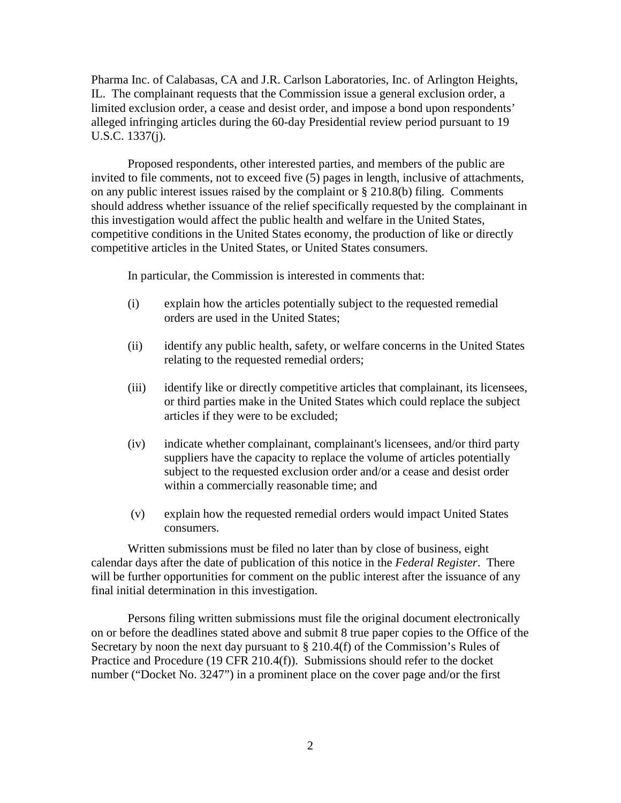Pharma Inc. of Calabasas, CA and J.R. Carlson Laboratories, Inc. of Arlington Heights, IL. The complainant requests that the Commission issue a general exclusion order, a limited exclusion order, a cease and desist order, and impose a bond upon respondents' alleged infringing articles during the 60-day Presidential review period pursuant to 19 U.S.C. 1337(j).

Proposed respondents, other interested parties, and members of the public are invited to file comments, not to exceed five (5) pages in length, inclusive of attachments, on any public interest issues raised by the complaint or § 210.8(b) filing. Comments should address whether issuance of the relief specifically requested by the complainant in this investigation would affect the public health and welfare in the United States, competitive conditions in the United States economy, the production of like or directly competitive articles in the United States, or United States consumers.

In particular, the Commission is interested in comments that:

- (i) explain how the articles potentially subject to the requested remedial orders are used in the United States;
- (ii) identify any public health, safety, or welfare concerns in the United States relating to the requested remedial orders;
- (iii) identify like or directly competitive articles that complainant, its licensees, or third parties make in the United States which could replace the subject articles if they were to be excluded;
- (iv) indicate whether complainant, complainant's licensees, and/or third party suppliers have the capacity to replace the volume of articles potentially subject to the requested exclusion order and/or a cease and desist order within a commercially reasonable time; and
- (v) explain how the requested remedial orders would impact United States consumers.

Written submissions must be filed no later than by close of business, eight calendar days after the date of publication of this notice in the *Federal Register*. There will be further opportunities for comment on the public interest after the issuance of any final initial determination in this investigation.

Persons filing written submissions must file the original document electronically on or before the deadlines stated above and submit 8 true paper copies to the Office of the Secretary by noon the next day pursuant to  $\S 210.4(f)$  of the Commission's Rules of Practice and Procedure (19 CFR 210.4(f)). Submissions should refer to the docket number ("Docket No. 3247") in a prominent place on the cover page and/or the first